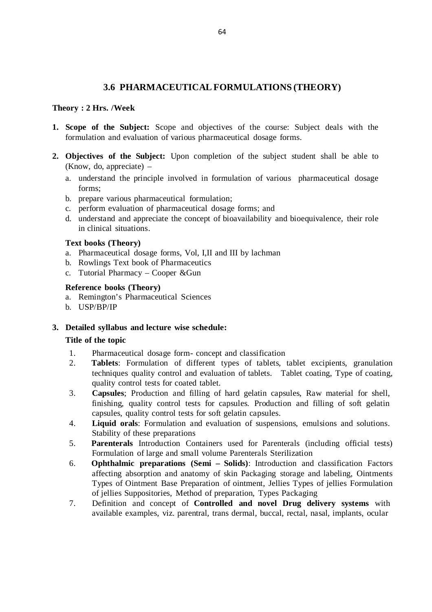# **3.6 PHARMACEUTICAL FORMULATIONS (THEORY)**

# **Theory : 2 Hrs. /Week**

- **1. Scope of the Subject:** Scope and objectives of the course: Subject deals with the formulation and evaluation of various pharmaceutical dosage forms.
- **2. Objectives of the Subject:** Upon completion of the subject student shall be able to (Know, do, appreciate) –
	- a. understand the principle involved in formulation of various pharmaceutical dosage forms;
	- b. prepare various pharmaceutical formulation;
	- c. perform evaluation of pharmaceutical dosage forms; and
	- d. understand and appreciate the concept of bioavailability and bioequivalence, their role in clinical situations.

#### **Text books (Theory)**

- a. Pharmaceutical dosage forms, Vol, I,II and III by lachman
- b. Rowlings Text book of Pharmaceutics
- c. Tutorial Pharmacy Cooper &Gun

#### **Reference books (Theory)**

- a. Remington's Pharmaceutical Sciences
- b. USP/BP/IP

# **3. Detailed syllabus and lecture wise schedule:**

#### **Title of the topic**

- 1. Pharmaceutical dosage form- concept and classification
- 2. **Tablets**: Formulation of different types of tablets, tablet excipients, granulation techniques quality control and evaluation of tablets. Tablet coating, Type of coating, quality control tests for coated tablet.
- 3. **Capsules**; Production and filling of hard gelatin capsules, Raw material for shell, finishing, quality control tests for capsules. Production and filling of soft gelatin capsules, quality control tests for soft gelatin capsules.
- 4. **Liquid orals**: Formulation and evaluation of suspensions, emulsions and solutions. Stability of these preparations
- 5. **Parenterals** Introduction Containers used for Parenterals (including official tests) Formulation of large and small volume Parenterals Sterilization
- 6. **Ophthalmic preparations (Semi Solids)**: Introduction and classification Factors affecting absorption and anatomy of skin Packaging storage and labeling, Ointments Types of Ointment Base Preparation of ointment, Jellies Types of jellies Formulation of jellies Suppositories, Method of preparation, Types Packaging
- 7. Definition and concept of **Controlled and novel Drug delivery systems** with available examples, viz. parentral, trans dermal, buccal, rectal, nasal, implants, ocular